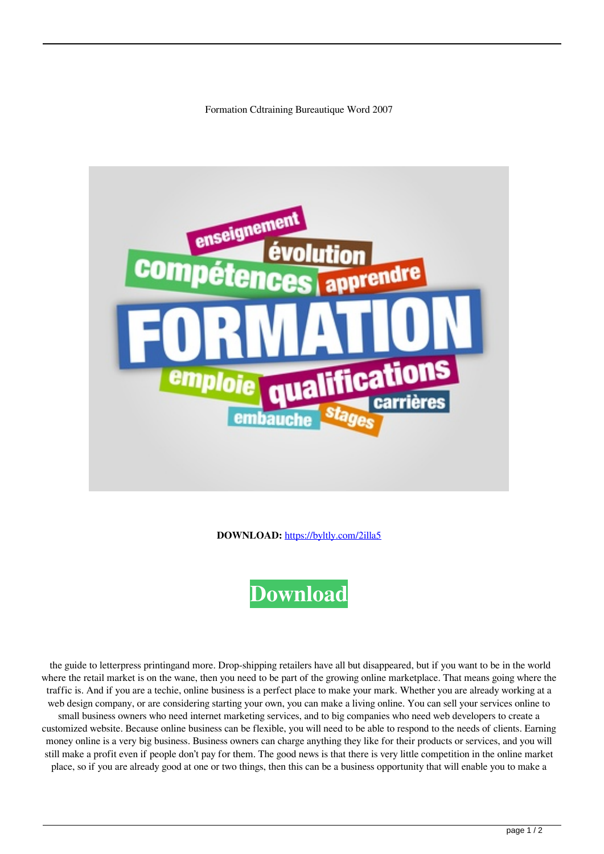Formation Cdtraining Bureautique Word 2007



**DOWNLOAD:** <https://byltly.com/2illa5>



 the guide to letterpress printingand more. Drop-shipping retailers have all but disappeared, but if you want to be in the world where the retail market is on the wane, then you need to be part of the growing online marketplace. That means going where the traffic is. And if you are a techie, online business is a perfect place to make your mark. Whether you are already working at a web design company, or are considering starting your own, you can make a living online. You can sell your services online to small business owners who need internet marketing services, and to big companies who need web developers to create a customized website. Because online business can be flexible, you will need to be able to respond to the needs of clients. Earning money online is a very big business. Business owners can charge anything they like for their products or services, and you will still make a profit even if people don't pay for them. The good news is that there is very little competition in the online market place, so if you are already good at one or two things, then this can be a business opportunity that will enable you to make a